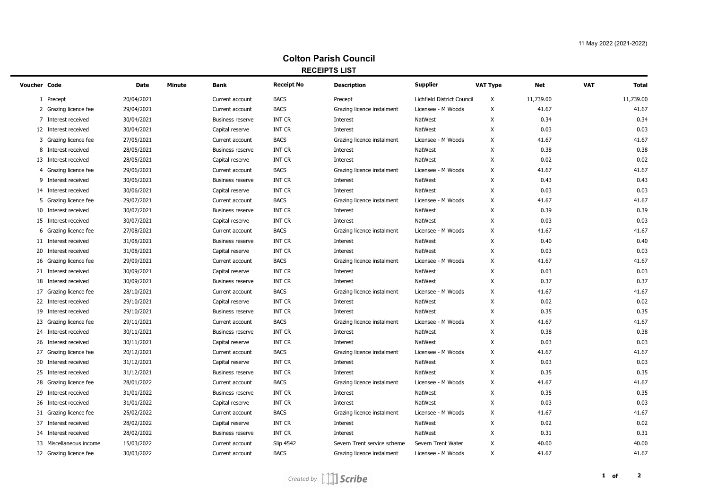## **Colton Parish Council RECEIPTS LIST**

| <b>Voucher Code</b>      | Date       | <b>Minute</b> | <b>Bank</b>             | <b>Receipt No</b> | <b>Description</b>          | <b>Supplier</b>            | <b>VAT Type</b> | <b>Net</b> | <b>VAT</b> | <b>Total</b> |
|--------------------------|------------|---------------|-------------------------|-------------------|-----------------------------|----------------------------|-----------------|------------|------------|--------------|
| 1 Precept                | 20/04/2021 |               | Current account         | <b>BACS</b>       | Precept                     | Lichfield District Council | X               | 11,739.00  |            | 11,739.00    |
| 2 Grazing licence fee    | 29/04/2021 |               | Current account         | <b>BACS</b>       | Grazing licence instalment  | Licensee - M Woods         | X               | 41.67      |            | 41.67        |
| 7 Interest received      | 30/04/2021 |               | <b>Business reserve</b> | <b>INT CR</b>     | Interest                    | <b>NatWest</b>             | X               | 0.34       |            | 0.34         |
| 12 Interest received     | 30/04/2021 |               | Capital reserve         | <b>INT CR</b>     | Interest                    | <b>NatWest</b>             | X               | 0.03       |            | 0.03         |
| Grazing licence fee<br>3 | 27/05/2021 |               | Current account         | <b>BACS</b>       | Grazing licence instalment  | Licensee - M Woods         | Χ               | 41.67      |            | 41.67        |
| 8<br>Interest received   | 28/05/2021 |               | <b>Business reserve</b> | <b>INT CR</b>     | Interest                    | <b>NatWest</b>             | X               | 0.38       |            | 0.38         |
| 13 Interest received     | 28/05/2021 |               | Capital reserve         | <b>INT CR</b>     | Interest                    | <b>NatWest</b>             | X               | 0.02       |            | 0.02         |
| Grazing licence fee<br>4 | 29/06/2021 |               | Current account         | <b>BACS</b>       | Grazing licence instalment  | Licensee - M Woods         | X               | 41.67      |            | 41.67        |
| Interest received<br>9   | 30/06/2021 |               | <b>Business reserve</b> | <b>INT CR</b>     | Interest                    | <b>NatWest</b>             | X               | 0.43       |            | 0.43         |
| 14 Interest received     | 30/06/2021 |               | Capital reserve         | <b>INT CR</b>     | Interest                    | <b>NatWest</b>             | Χ               | 0.03       |            | 0.03         |
| 5 Grazing licence fee    | 29/07/2021 |               | Current account         | <b>BACS</b>       | Grazing licence instalment  | Licensee - M Woods         | X               | 41.67      |            | 41.67        |
| 10 Interest received     | 30/07/2021 |               | <b>Business reserve</b> | <b>INT CR</b>     | Interest                    | <b>NatWest</b>             | Χ               | 0.39       |            | 0.39         |
| 15 Interest received     | 30/07/2021 |               | Capital reserve         | <b>INT CR</b>     | Interest                    | <b>NatWest</b>             | Χ               | 0.03       |            | 0.03         |
| 6 Grazing licence fee    | 27/08/2021 |               | Current account         | <b>BACS</b>       | Grazing licence instalment  | Licensee - M Woods         | X               | 41.67      |            | 41.67        |
| 11 Interest received     | 31/08/2021 |               | <b>Business reserve</b> | <b>INT CR</b>     | Interest                    | <b>NatWest</b>             | Χ               | 0.40       |            | 0.40         |
| 20 Interest received     | 31/08/2021 |               | Capital reserve         | <b>INT CR</b>     | Interest                    | NatWest                    | X               | 0.03       |            | 0.03         |
| 16 Grazing licence fee   | 29/09/2021 |               | Current account         | <b>BACS</b>       | Grazing licence instalment  | Licensee - M Woods         | Χ               | 41.67      |            | 41.67        |
| 21 Interest received     | 30/09/2021 |               | Capital reserve         | <b>INT CR</b>     | Interest                    | <b>NatWest</b>             | Χ               | 0.03       |            | 0.03         |
| 18 Interest received     | 30/09/2021 |               | <b>Business reserve</b> | <b>INT CR</b>     | Interest                    | <b>NatWest</b>             | X               | 0.37       |            | 0.37         |
| 17 Grazing licence fee   | 28/10/2021 |               | Current account         | <b>BACS</b>       | Grazing licence instalment  | Licensee - M Woods         | X               | 41.67      |            | 41.67        |
| 22 Interest received     | 29/10/2021 |               | Capital reserve         | <b>INT CR</b>     | Interest                    | NatWest                    | X               | 0.02       |            | 0.02         |
| 19 Interest received     | 29/10/2021 |               | <b>Business reserve</b> | <b>INT CR</b>     | Interest                    | <b>NatWest</b>             | X               | 0.35       |            | 0.35         |
| 23 Grazing licence fee   | 29/11/2021 |               | Current account         | <b>BACS</b>       | Grazing licence instalment  | Licensee - M Woods         | X               | 41.67      |            | 41.67        |
| 24 Interest received     | 30/11/2021 |               | <b>Business reserve</b> | <b>INT CR</b>     | Interest                    | NatWest                    | X               | 0.38       |            | 0.38         |
| 26 Interest received     | 30/11/2021 |               | Capital reserve         | INT CR            | Interest                    | <b>NatWest</b>             | X               | 0.03       |            | 0.03         |
| 27 Grazing licence fee   | 20/12/2021 |               | Current account         | <b>BACS</b>       | Grazing licence instalment  | Licensee - M Woods         | X               | 41.67      |            | 41.67        |
| 30 Interest received     | 31/12/2021 |               | Capital reserve         | <b>INT CR</b>     | Interest                    | <b>NatWest</b>             | X               | 0.03       |            | 0.03         |
| 25 Interest received     | 31/12/2021 |               | <b>Business reserve</b> | INT CR            | Interest                    | <b>NatWest</b>             | X               | 0.35       |            | 0.35         |
| 28 Grazing licence fee   | 28/01/2022 |               | Current account         | <b>BACS</b>       | Grazing licence instalment  | Licensee - M Woods         | X               | 41.67      |            | 41.67        |
| 29 Interest received     | 31/01/2022 |               | <b>Business reserve</b> | <b>INT CR</b>     | Interest                    | <b>NatWest</b>             | X               | 0.35       |            | 0.35         |
| 36 Interest received     | 31/01/2022 |               | Capital reserve         | <b>INT CR</b>     | Interest                    | <b>NatWest</b>             | X               | 0.03       |            | 0.03         |
| 31 Grazing licence fee   | 25/02/2022 |               | Current account         | <b>BACS</b>       | Grazing licence instalment  | Licensee - M Woods         | X               | 41.67      |            | 41.67        |
| 37 Interest received     | 28/02/2022 |               | Capital reserve         | <b>INT CR</b>     | Interest                    | <b>NatWest</b>             | X               | 0.02       |            | 0.02         |
| 34 Interest received     | 28/02/2022 |               | <b>Business reserve</b> | <b>INT CR</b>     | Interest                    | NatWest                    | X               | 0.31       |            | 0.31         |
| 33 Miscellaneous income  | 15/03/2022 |               | Current account         | <b>Slip 4542</b>  | Severn Trent service scheme | Severn Trent Water         | X               | 40.00      |            | 40.00        |
| 32 Grazing licence fee   | 30/03/2022 |               | Current account         | <b>BACS</b>       | Grazing licence instalment  | Licensee - M Woods         | X               | 41.67      |            | 41.67        |